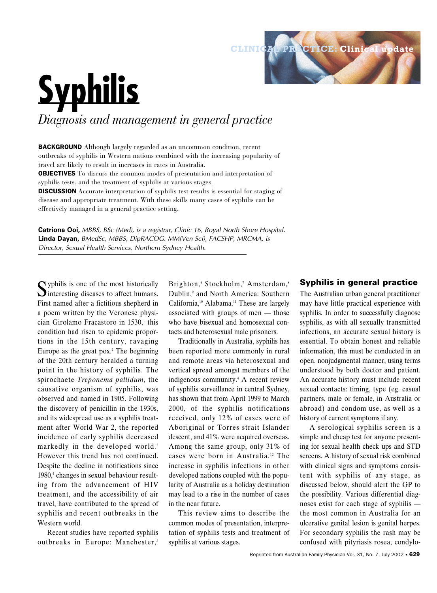# **Syphilis**

*Diagnosis and management in general practice*

BACKGROUND Although largely regarded as an uncommon condition, recent outbreaks of syphilis in Western nations combined with the increasing popularity of travel are likely to result in increases in rates in Australia. OBJECTIVES To discuss the common modes of presentation and interpretation of syphilis tests, and the treatment of syphilis at various stages. DISCUSSION Accurate interpretation of syphilis test results is essential for staging of disease and appropriate treatment. With these skills many cases of syphilis can be effectively managed in a general practice setting.

**Catriona Ooi,** *MBBS, BSc (Med), is a registrar, Clinic 16, Royal North Shore Hospital.* **Linda Dayan,** *BMedSc, MBBS, DipRACOG. MM(Ven Sci), FACSHP, MRCMA, is Director, Sexual Health Services, Northern Sydney Health.*

Syphilis is one of the most historically<br>interesting diseases to affect humans. First named after a fictitious shepherd in a poem written by the Veronese physician Girolamo Fracastoro in  $1530<sup>1</sup>$ , this condition had risen to epidemic proportions in the 15th century, ravaging Europe as the great pox.2 The beginning of the 20th century heralded a turning point in the history of syphilis. The spirochaete *Treponema pallidum,* the causative organism of syphilis, was observed and named in 1905. Following the discovery of penicillin in the 1930s, and its widespread use as a syphilis treatment after World War 2, the reported incidence of early syphilis decreased markedly in the developed world.<sup>3</sup> However this trend has not continued. Despite the decline in notifications since 1980,<sup>4</sup> changes in sexual behaviour resulting from the advancement of HIV treatment, and the accessibility of air travel, have contributed to the spread of syphilis and recent outbreaks in the Western world.

Recent studies have reported syphilis outbreaks in Europe: Manchester,<sup>5</sup>

Brighton, 6 Stockholm, 7 Amsterdam, 8 Dublin,<sup>9</sup> and North America: Southern California,<sup>10</sup> Alabama.<sup>11</sup> These are largely associated with groups of men — those who have bisexual and homosexual contacts and heterosexual male prisoners.

Traditionally in Australia, syphilis has been reported more commonly in rural and remote areas via heterosexual and vertical spread amongst members of the indigenous community.4 A recent review of syphilis surveillance in central Sydney, has shown that from April 1999 to March 2000, of the syphilis notifications received, only 12% of cases were of Aboriginal or Torres strait Islander descent, and 41% were acquired overseas. Among the same group, only 31% of cases were born in Australia.<sup>12</sup> The increase in syphilis infections in other developed nations coupled with the popularity of Australia as a holiday destination may lead to a rise in the number of cases in the near future.

This review aims to describe the common modes of presentation, interpretation of syphilis tests and treatment of syphilis at various stages.

# **Syphilis in general practice**

**CLINICAL PRACTICE: Clinical update** 

The Australian urban general practitioner may have little practical experience with syphilis. In order to successfully diagnose syphilis, as with all sexually transmitted infections, an accurate sexual history is essential. To obtain honest and reliable information, this must be conducted in an open, nonjudgmental manner, using terms understood by both doctor and patient. An accurate history must include recent sexual contacts: timing, type (eg. casual partners, male or female, in Australia or abroad) and condom use, as well as a history of current symptoms if any.

A serological syphilis screen is a simple and cheap test for anyone presenting for sexual health check ups and STD screens. A history of sexual risk combined with clinical signs and symptoms consistent with syphilis of any stage, as discussed below, should alert the GP to the possibility. Various differential diagnoses exist for each stage of syphilis the most common in Australia for an ulcerative genital lesion is genital herpes. For secondary syphilis the rash may be confused with pityriasis rosea, condylo-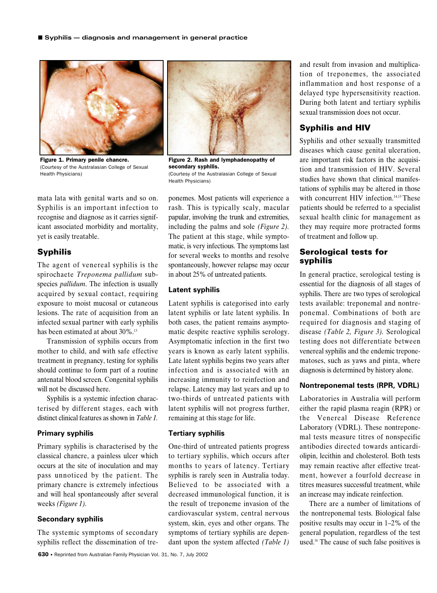

Figure 1. Primary penile chancre. (Courtesy of the Australasian College of Sexual Health Physicians)



Figure 2. Rash and lymphadenopathy of secondary syphilis. (Courtesy of the Australasian College of Sexual Health Physicians)

mata lata with genital warts and so on. Syphilis is an important infection to recognise and diagnose as it carries significant associated morbidity and mortality, yet is easily treatable.

# **Syphilis**

The agent of venereal syphilis is the spirochaete *Treponema pallidum* subspecies *pallidum*. The infection is usually acquired by sexual contact, requiring exposure to moist mucosal or cutaneous lesions. The rate of acquisition from an infected sexual partner with early syphilis has been estimated at about 30%.<sup>13</sup>

Transmission of syphilis occurs from mother to child, and with safe effective treatment in pregnancy, testing for syphilis should continue to form part of a routine antenatal blood screen. Congenital syphilis will not be discussed here.

Syphilis is a systemic infection characterised by different stages, each with distinct clinical features as shown in *Table 1.*

# **Primary syphilis**

Primary syphilis is characterised by the classical chancre, a painless ulcer which occurs at the site of inoculation and may pass unnoticed by the patient. The primary chancre is extremely infectious and will heal spontaneously after several weeks *(Figure 1).*

### **Secondary syphilis**

The systemic symptoms of secondary syphilis reflect the dissemination of treponemes. Most patients will experience a rash. This is typically scaly, macular papular, involving the trunk and extremities, including the palms and sole *(Figure 2).* The patient at this stage, while symptomatic, is very infectious. The symptoms last for several weeks to months and resolve spontaneously, however relapse may occur in about 25% of untreated patients.

# **Latent syphilis**

Latent syphilis is categorised into early latent syphilis or late latent syphilis. In both cases, the patient remains asymptomatic despite reactive syphilis serology. Asymptomatic infection in the first two years is known as early latent syphilis. Late latent syphilis begins two years after infection and is associated with an increasing immunity to reinfection and relapse. Latency may last years and up to two-thirds of untreated patients with latent syphilis will not progress further, remaining at this stage for life.

# **Tertiary syphilis**

One-third of untreated patients progress to tertiary syphilis, which occurs after months to years of latency. Tertiary syphilis is rarely seen in Australia today. Believed to be associated with a decreased immunological function, it is the result of treponeme invasion of the cardiovascular system, central nervous system, skin, eyes and other organs. The symptoms of tertiary syphilis are dependant upon the system affected *(Table 1)*

and result from invasion and multiplication of treponemes, the associated inflammation and host response of a delayed type hypersensitivity reaction. During both latent and tertiary syphilis sexual transmission does not occur.

# **Syphilis and HIV**

Syphilis and other sexually transmitted diseases which cause genital ulceration, are important risk factors in the acquisition and transmission of HIV. Several studies have shown that clinical manifestations of syphilis may be altered in those with concurrent HIV infection.<sup>14,15</sup> These patients should be referred to a specialist sexual health clinic for management as they may require more protracted forms of treatment and follow up.

# **Serological tests for syphilis**

In general practice, serological testing is essential for the diagnosis of all stages of syphilis. There are two types of serological tests available: treponemal and nontreponemal. Combinations of both are required for diagnosis and staging of disease *(Table 2, Figure 3).* Serological testing does not differentiate between venereal syphilis and the endemic treponematoses, such as yaws and pinta, where diagnosis is determined by history alone.

# **Nontreponemal tests (RPR, VDRL)**

Laboratories in Australia will perform either the rapid plasma reagin (RPR) or the Venereal Disease Reference Laboratory (VDRL). These nontreponemal tests measure titres of nonspecific antibodies directed towards anticardiolipin, lecithin and cholesterol. Both tests may remain reactive after effective treatment, however a fourfold decrease in titres measures successful treatment, while an increase may indicate reinfection.

There are a number of limitations of the nontreponemal tests. Biological false positive results may occur in 1–2% of the general population, regardless of the test used.16 The cause of such false positives is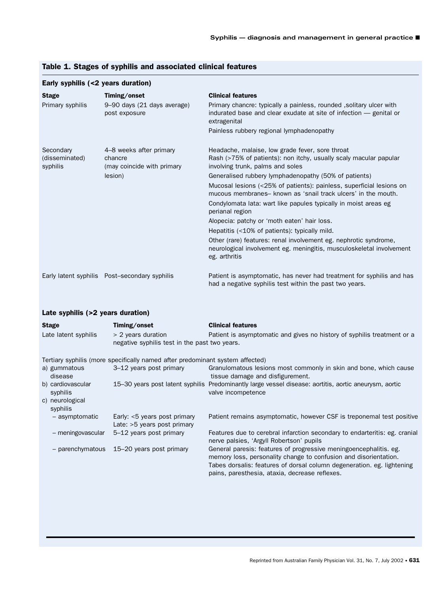| Early syphilis (<2 years duration)      |                                                                             |                                                                                                                                                                                                                                                                                                                                                                                                                                                                                                                                                                                                                                                                                                               |
|-----------------------------------------|-----------------------------------------------------------------------------|---------------------------------------------------------------------------------------------------------------------------------------------------------------------------------------------------------------------------------------------------------------------------------------------------------------------------------------------------------------------------------------------------------------------------------------------------------------------------------------------------------------------------------------------------------------------------------------------------------------------------------------------------------------------------------------------------------------|
| <b>Stage</b>                            | Timing/onset                                                                | <b>Clinical features</b>                                                                                                                                                                                                                                                                                                                                                                                                                                                                                                                                                                                                                                                                                      |
| Primary syphilis                        | 9–90 days (21 days average)<br>post exposure                                | Primary chancre: typically a painless, rounded, solitary ulcer with<br>indurated base and clear exudate at site of infection - genital or<br>extragenital                                                                                                                                                                                                                                                                                                                                                                                                                                                                                                                                                     |
|                                         |                                                                             | Painless rubbery regional lymphadenopathy                                                                                                                                                                                                                                                                                                                                                                                                                                                                                                                                                                                                                                                                     |
| Secondary<br>(disseminated)<br>syphilis | 4–8 weeks after primary<br>chancre<br>(may coincide with primary<br>lesion) | Headache, malaise, low grade fever, sore throat<br>Rash (>75% of patients): non itchy, usually scaly macular papular<br>involving trunk, palms and soles<br>Generalised rubbery lymphadenopathy (50% of patients)<br>Mucosal lesions (<25% of patients): painless, superficial lesions on<br>mucous membranes- known as 'snail track ulcers' in the mouth.<br>Condylomata lata: wart like papules typically in moist areas eg<br>perianal region<br>Alopecia: patchy or 'moth eaten' hair loss.<br>Hepatitis (<10% of patients): typically mild.<br>Other (rare) features: renal involvement eg. nephrotic syndrome,<br>neurological involvement eg. meningitis, musculoskeletal involvement<br>eg. arthritis |
|                                         | Early latent syphilis Post-secondary syphilis                               | Patient is asymptomatic, has never had treatment for syphilis and has<br>had a negative syphilis test within the past two years.                                                                                                                                                                                                                                                                                                                                                                                                                                                                                                                                                                              |

# Table 1. Stages of syphilis and associated clinical features

# Late syphilis (>2 years duration)

| <b>Stage</b><br>Late latent syphilis                         | Timing/onset<br>$> 2$ years duration<br>negative syphilis test in the past two years. | <b>Clinical features</b><br>Patient is asymptomatic and gives no history of syphilis treatment or a                                                                                                                                                               |
|--------------------------------------------------------------|---------------------------------------------------------------------------------------|-------------------------------------------------------------------------------------------------------------------------------------------------------------------------------------------------------------------------------------------------------------------|
|                                                              | Tertiary syphilis (more specifically named after predominant system affected)         |                                                                                                                                                                                                                                                                   |
| a) gummatous<br>disease                                      | 3–12 years post primary                                                               | Granulomatous lesions most commonly in skin and bone, which cause<br>tissue damage and disfigurement.                                                                                                                                                             |
| b) cardiovascular<br>syphilis<br>c) neurological<br>syphilis |                                                                                       | 15-30 years post latent syphilis Predominantly large vessel disease: aortitis, aortic aneurysm, aortic<br>valve incompetence                                                                                                                                      |
| - asymptomatic                                               | Early: $<$ 5 years post primary<br>Late: $>5$ years post primary                      | Patient remains asymptomatic, however CSF is treponemal test positive                                                                                                                                                                                             |
| - meningovascular                                            | 5–12 years post primary                                                               | Features due to cerebral infarction secondary to endarteritis: eg. cranial<br>nerve palsies, 'Argyll Robertson' pupils                                                                                                                                            |
|                                                              | - parenchymatous 15–20 years post primary                                             | General paresis: features of progressive meningoencephalitis. eg.<br>memory loss, personality change to confusion and disorientation.<br>Tabes dorsalis: features of dorsal column degeneration. eg. lightening<br>pains, paresthesia, ataxia, decrease reflexes. |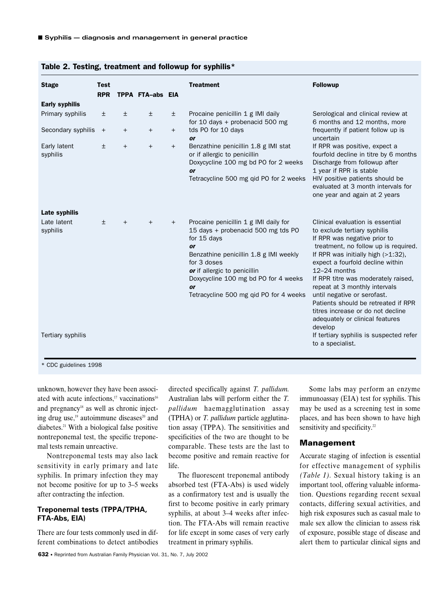| <b>Stage</b>             | <b>Test</b><br><b>RPR</b> |        | TPPA FTA-abs EIA |       | <b>Treatment</b>                                                                                                                                                                                                                                                                         | <b>Followup</b>                                                                                                                                                                                                                                                                                                                                                                                                                                                     |
|--------------------------|---------------------------|--------|------------------|-------|------------------------------------------------------------------------------------------------------------------------------------------------------------------------------------------------------------------------------------------------------------------------------------------|---------------------------------------------------------------------------------------------------------------------------------------------------------------------------------------------------------------------------------------------------------------------------------------------------------------------------------------------------------------------------------------------------------------------------------------------------------------------|
| <b>Early syphilis</b>    |                           |        |                  |       |                                                                                                                                                                                                                                                                                          |                                                                                                                                                                                                                                                                                                                                                                                                                                                                     |
| Primary syphilis         | $\pm$                     | $\pm$  | $\pm$            | $\pm$ | Procaine penicillin 1 g IMI daily<br>for 10 days + probenacid 500 mg                                                                                                                                                                                                                     | Serological and clinical review at<br>6 months and 12 months, more                                                                                                                                                                                                                                                                                                                                                                                                  |
| Secondary syphilis       | $^{+}$                    | $^{+}$ | $^{+}$           | $+$   | tds PO for 10 days<br><b>or</b>                                                                                                                                                                                                                                                          | frequently if patient follow up is<br>uncertain                                                                                                                                                                                                                                                                                                                                                                                                                     |
| Early latent<br>syphilis | $\pm$                     | $^{+}$ | $^{+}$           | $+$   | Benzathine penicillin 1.8 g IMI stat<br>or if allergic to penicillin<br>Doxycycline 100 mg bd PO for 2 weeks<br>or<br>Tetracycline 500 mg qid PO for 2 weeks                                                                                                                             | If RPR was positive, expect a<br>fourfold decline in titre by 6 months<br>Discharge from followup after<br>1 year if RPR is stable<br>HIV positive patients should be<br>evaluated at 3 month intervals for<br>one year and again at 2 years                                                                                                                                                                                                                        |
| Late syphilis            |                           |        |                  |       |                                                                                                                                                                                                                                                                                          |                                                                                                                                                                                                                                                                                                                                                                                                                                                                     |
| Late latent<br>syphilis  | $\pm$                     | $+$    | $+$              | $+$   | Procaine penicillin 1 g IMI daily for<br>15 days + probenacid 500 mg tds PO<br>for 15 days<br><b>or</b><br>Benzathine penicillin 1.8 g IMI weekly<br>for 3 doses<br>or if allergic to penicillin<br>Doxycycline 100 mg bd PO for 4 weeks<br>or<br>Tetracycline 500 mg qid PO for 4 weeks | Clinical evaluation is essential<br>to exclude tertiary syphilis<br>If RPR was negative prior to<br>treatment, no follow up is required.<br>If RPR was initially high (>1:32),<br>expect a fourfold decline within<br>12-24 months<br>If RPR titre was moderately raised,<br>repeat at 3 monthly intervals<br>until negative or serofast.<br>Patients should be retreated if RPR<br>titres increase or do not decline<br>adequately or clinical features<br>develop |
| Tertiary syphilis        |                           |        |                  |       |                                                                                                                                                                                                                                                                                          | If tertiary syphilis is suspected refer<br>to a specialist.                                                                                                                                                                                                                                                                                                                                                                                                         |

### Table 2. Testing, treatment and followup for syphilis\*

\* CDC guidelines 1998

unknown, however they have been associated with acute infections.<sup>17</sup> vaccinations<sup>16</sup> and pregnancy $18$  as well as chronic injecting drug use, $19$  autoimmune diseases $20$  and diabetes.21 With a biological false positive nontreponemal test, the specific treponemal tests remain unreactive.

Nontreponemal tests may also lack sensitivity in early primary and late syphilis. In primary infection they may not become positive for up to 3–5 weeks after contracting the infection.

## **Treponemal tests (TPPA/TPHA, FTA-Abs, EIA)**

There are four tests commonly used in different combinations to detect antibodies directed specifically against *T. pallidum.* Australian labs will perform either the *T. pallidum* haemagglutination assay (TPHA) or *T. pallidum* particle agglutination assay (TPPA). The sensitivities and specificities of the two are thought to be comparable. These tests are the last to become positive and remain reactive for life.

The fluorescent treponemal antibody absorbed test (FTA-Abs) is used widely as a confirmatory test and is usually the first to become positive in early primary syphilis, at about 3–4 weeks after infection. The FTA-Abs will remain reactive for life except in some cases of very early treatment in primary syphilis.

Some labs may perform an enzyme immunoassay (EIA) test for syphilis. This may be used as a screening test in some places, and has been shown to have high sensitivity and specificity.<sup>22</sup>

# **Management**

Accurate staging of infection is essential for effective management of syphilis *(Table 1).* Sexual history taking is an important tool, offering valuable information. Questions regarding recent sexual contacts, differing sexual activities, and high risk exposures such as casual male to male sex allow the clinician to assess risk of exposure, possible stage of disease and alert them to particular clinical signs and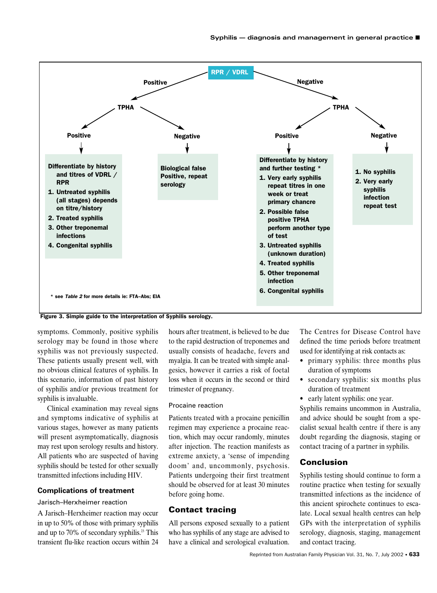

Figure 3. Simple guide to the interpretation of Syphilis serology.

symptoms. Commonly, positive syphilis serology may be found in those where syphilis was not previously suspected. These patients usually present well, with no obvious clinical features of syphilis. In this scenario, information of past history of syphilis and/or previous treatment for syphilis is invaluable.

Clinical examination may reveal signs and symptoms indicative of syphilis at various stages, however as many patients will present asymptomatically, diagnosis may rest upon serology results and history. All patients who are suspected of having syphilis should be tested for other sexually transmitted infections including HIV.

### **Complications of treatment**

### Jarisch–Herxheimer reaction

A Jarisch–Herxheimer reaction may occur in up to 50% of those with primary syphilis and up to 70% of secondary syphilis.23 This transient flu-like reaction occurs within 24

hours after treatment, is believed to be due to the rapid destruction of treponemes and usually consists of headache, fevers and myalgia. It can be treated with simple analgesics, however it carries a risk of foetal loss when it occurs in the second or third trimester of pregnancy.

### Procaine reaction

Patients treated with a procaine penicillin regimen may experience a procaine reaction, which may occur randomly, minutes after injection. The reaction manifests as extreme anxiety, a 'sense of impending doom' and, uncommonly, psychosis. Patients undergoing their first treatment should be observed for at least 30 minutes before going home.

# **Contact tracing**

All persons exposed sexually to a patient who has syphilis of any stage are advised to have a clinical and serological evaluation.

The Centres for Disease Control have defined the time periods before treatment used for identifying at risk contacts as:

- primary syphilis: three months plus duration of symptoms
- secondary syphilis: six months plus duration of treatment
- early latent syphilis: one year.

Syphilis remains uncommon in Australia, and advice should be sought from a specialist sexual health centre if there is any doubt regarding the diagnosis, staging or contact tracing of a partner in syphilis.

# **Conclusion**

Syphilis testing should continue to form a routine practice when testing for sexually transmitted infections as the incidence of this ancient spirochete continues to escalate. Local sexual health centres can help GPs with the interpretation of syphilis serology, diagnosis, staging, management and contact tracing.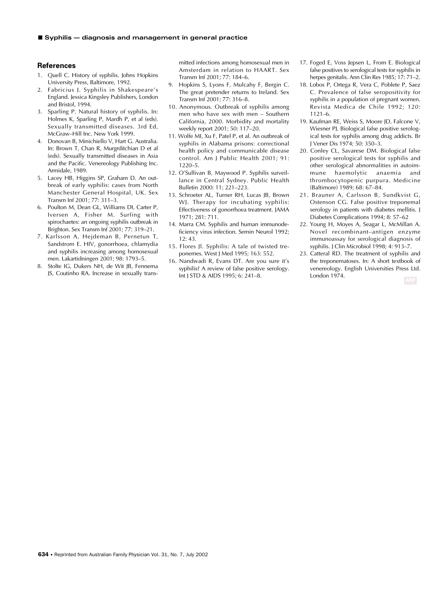### **References**

- 1. Quell C. History of syphilis. Johns Hopkins University Press, Baltimore, 1992.
- 2. Fabricius J. Syphilis in Shakespeare's England. Jessica Kingsley Publishers, London and Bristol, 1994.
- 3. Sparling P. Natural history of syphilis. In: Holmes K, Sparling P, Mardh P, et al (eds). Sexually transmitted diseases. 3rd Ed, McGraw–Hill Inc. New York 1999.
- 4. Donovan B, Minichiello V, Hart G. Australia. In: Brown T, Chan R, Murgrditchian D et al (eds). Sexually transmitted diseases in Asia and the Pacific. Venereology Publishing Inc. Armidale, 1989.
- 5. Lacey HB, Higgins SP, Graham D. An outbreak of early syphilis: cases from North Manchester General Hospital, UK. Sex Transm Inf 2001; 77: 311–3.
- 6. Poulton M, Dean GL, Williams DI, Carter P, Iversen A, Fisher M. Surfing with spirochaetes: an ongoing syphilis outbreak in Brighton. Sex Transm Inf 2001; 77: 319–21.
- 7. Karlsson A, Hejdeman B, Pernetun T, Sandstrom E. HIV, gonorrhoea, chlamydia and syphilis increasing among homosexual men. Lakartidningen 2001; 98: 1793–5.
- 8. Stolte IG, Dukers NH, de Wit JB, Fennema JS, Coutinho RA. Increase in sexually trans-

mitted infections among homosexual men in Amsterdam in relation to HAART. Sex Transm Inf 2001; 77: 184–6.

- 9. Hopkins S, Lyons F, Mulcahy F, Bergin C. The great pretender returns to Ireland. Sex Transm Inf 2001; 77: 316–8.
- 10. Anonymous. Outbreak of syphilis among men who have sex with men – Southern California, 2000. Morbidity and mortality weekly report 2001; 50: 117–20.
- 11. Wolfe MI, Xu F, Patel P, et al. An outbreak of syphilis in Alabama prisons: correctional health policy and communicable disease control. Am J Public Health 2001; 91: 1220–5.
- 12. O'Sullivan B, Maywood P. Syphilis surveillance in Central Sydney. Public Health Bulletin 2000: 11; 221–223.
- 13. Schroeter AL, Turner RH, Lucas JB, Brown WJ. Therapy for incubating syphilis: Effectiveness of gonorrhoea treatment. JAMA 1971; 281: 711.
- 14. Marra CM. Syphilis and human immunodeficiency virus infection. Semin Neurol 1992; 12: 43.
- 15. Flores Jl. Syphilis: A tale of twisted treponemes. West J Med 1995; 163: 552.
- 16. Nandwadi R, Evans DT. Are you sure it's syphilis? A review of false positive serology. Int J STD & AIDS 1995; 6: 241–8.
- 17. Foged E, Voss Jepsen L, From E. Biological false positives to serological tests for syphilis in herpes genitalis. Ann Clin Res 1985; 17: 71–2.
- 18. Lobos P, Ortega R, Vera C, Poblete P, Saez C. Prevalence of false seropositivity for syphilis in a population of pregnant women. Revista Medica de Chile 1992; 120: 1121–6.
- 19. Kaufman RE, Weiss S, Moore JD, Falcone V, Wiesner PJ. Biological false positive serological tests for syphilis among drug addicts. Br J Vener Dis 1974; 50: 350–3.
- 20. Conley CL, Savarese DM. Biological false positive serological tests for syphilis and other serological abnormalities in autoimmune haemolytic anaemia and thrombocytopenic purpura. Medicine (Baltimore) 1989; 68: 67–84.
- 21. Brauner A, Carlsson B, Sundkvist G, Ostenson CG. False positive treponemal serology in patients with diabetes mellitis. J Diabetes Complications 1994; 8: 57–62
- 22. Young H, Moyes A, Seagar L, McMillan A. Novel recombinant–antigen enzyme immunoassay for serological diagnosis of syphilis. J Clin Microbiol 1998; 4: 913–7.
- 23. Catteral RD. The treatment of syphilis and the treponematoses. In: A short textbook of venereology. English Universities Press Ltd. London 1974.